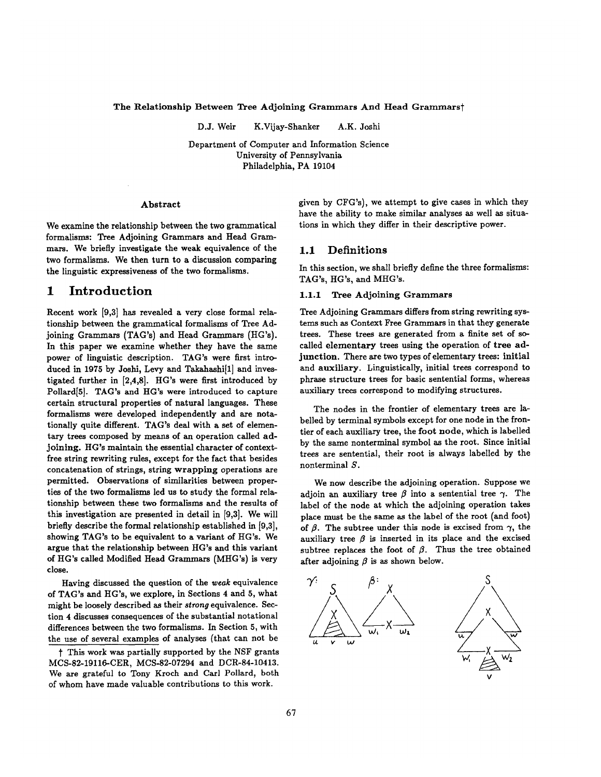The Relationship Between Tree Adjoining Grammars And Head Grammarst

D.J. Weir K.Vijay-Shanker A.K. Joshi

Department of Computer and Information Science University of Pennsylvania Philadelphia, PA 19104

#### Abstract

We examine the relationship between the two grammatical formalisms: Tree Adjoining Grammars and Head Grammars. We briefly investigate the weak equivalence of the two formalisms. We then turn to a discussion comparing the linguistic expressiveness of the two formalisms.

# **1 Introduction**

Recent work [9,3] has revealed a very close formal relationship between the grammatical formalisms of Tree Adjoining Grammars (TAG's) and Head Grammars (HG's). In this paper we examine whether they have the same power of linguistic description. TAG's were first introduced in 1975 by Joshi, Levy and Takahashi<sup>[1]</sup> and investigated further in [2,4,8]. HG's were first introduced by Pollard<sup>[5]</sup>. TAG's and HG's were introduced to capture certain structural properties of natural languages. These formalisms were developed independently and are notationally quite different. TAG's deal with a set of elementary trees composed by means of an operation called adjoining. HG's maintain the essential character of contextfree string rewriting rules, except for the fact that besides concatenation of strings, string wrapping operations are permitted. Observations of similarities between properties of the two formalisms led us to study the formal relationship between these two formalisms and the results of this investigation are presented in detail in [9,3]. We will briefly describe the formal relationship established in [9,3], showing TAG's to be equivalent to a variant of HG's. We argue that the relationship between HG's and this variant of HG's called Modified Head Grammars (MHG's) is very close.

Having discussed the question of the *weak* equivalence of TAG's and HG's, we explore, in Sections 4 and 5, what might be loosely described as their *strong* equivalence. Section 4 discusses consequences of the substantial notational differences between the two formalisms. In Section 5, with the use of several examples of analyses (that can not be given by CFG's), we attempt to give cases in which they have the ability to make similar analyses as well as situations in which they differ in their descriptive power.

#### 1.1 Definitions

In this section, we shall briefly define the three formalisms: TAG's, HG's, and MHG's.

### 1.1.1 Tree Adjoining Grammars

Tree Adjoining Grammars differs from string rewriting systems such as Context Free Grammars in that they generate trees. These trees are generated from a finite set of socalled elementary trees using the operation of tree adjunction. There are two types of elementary trees: initial and auxiliary. Linguistically, initial trees correspond to phrase structure trees for basic sentential forms, whereas auxiliary trees correspond to modifying structures.

The nodes in the frontier of elementary trees are labelled by terminal symbols except for one node in the frontier of each auxiliary tree, the foot node, which is labelled by the same nonterminal symbol as the root. Since initial trees are sentential, their root is always labelled by the nonterminal S.

We now describe the adjoining operation. Suppose we adjoin an auxiliary tree  $\beta$  into a sentential tree  $\gamma$ . The label of the node at which the adjoining operation takes place must be the same as the label of the root (and foot) of  $\beta$ . The subtree under this node is excised from  $\gamma$ , the auxiliary tree  $\beta$  is inserted in its place and the excised subtree replaces the foot of  $\beta$ . Thus the tree obtained after adjoining  $\beta$  is as shown below.



t This work was partially supported by the NSF grants MCS-82-19116-CER, MCS-82-07294 and DCR-84-10413. We are grateful to Tony Kroch and Carl Pollard, both of whom have made valuable contributions to this work.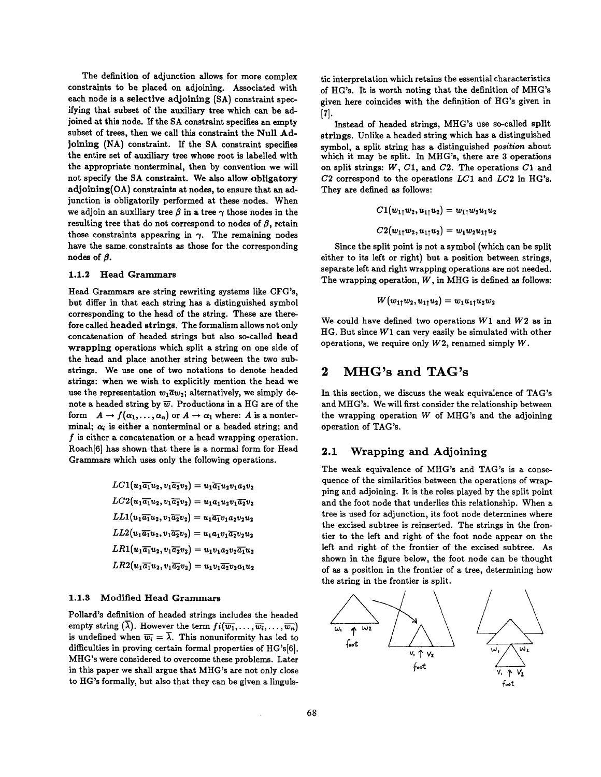The definition of adjunction allows for more complex constraints to be placed on adjoining. Associated with each node is a selective adjoining (SA) constraint specifying that subset of the auxiliary tree which can be adjoined at this node. If the SA constraint specifies an empty subset of trees, then we call this constraint the Null Adjoining (NA) constraint. If the SA constraint specifies the entire set of auxiliary tree whose root is labelled with the appropriate nonterminal, then by convention we will not specify the SA constraint. We also allow obligatory adjoining(OA) constraints at nodes, to ensure that an adjunction is obligatorily performed at these nodes. When we adjoin an auxiliary tree  $\beta$  in a tree  $\gamma$  those nodes in the resulting tree that do not correspond to nodes of  $\beta$ , retain those constraints appearing in  $\gamma$ . The remaining nodes have the same constraints as those for the corresponding  $nodes$  of  $\beta$ .

#### 1.1.2 Head Grammars

Head Grammars are string rewriting systems like CFG's, but differ in that each string has a distinguished symbol corresponding to the head of the string. These are therefore called headed strings. The formalism allows not only concatenation of headed strings but also so-called head wrapping operations which split a string on one side of the head and place another string between the two substrings. We use one of two notations to denote headed strings: when we wish to explicitly mention the head we use the representation  $w_1\overline{a}w_2$ ; alternatively, we simply denote a headed string by  $\overline{w}$ . Productions in a HG are of the form  $A \to f(\alpha_1, \ldots, \alpha_n)$  or  $A \to \alpha_1$  where: A is a nonterminal;  $\alpha_i$  is either a nonterminal or a headed string; and  $f$  is either a concatenation or a head wrapping operation. Roach[6] has shown that there is a normal form for Head Grammars which uses only the following operations.

> $LC1(u_1\overline{a_1}u_2, v_1\overline{a_2}v_2) = u_1\overline{a_1}u_2v_1a_2v_2$  $LC2(u_1\overline{a_1}u_2,v_1\overline{a_2}v_2) = u_1a_1u_2v_1\overline{a_2}v_2$  $LL1(u_1\overline{a_1}u_2, v_1\overline{a_2}v_2) = u_1\overline{a_1}v_1a_2v_2u_2$  $LL2(u_1\overline{a_1}u_2,v_1\overline{a_2}v_2) = u_1a_1v_1\overline{a_2}v_2u_2$  $LR1(u_1\overline{a_1}u_2,v_1\overline{a_2}v_2) = u_1v_1a_2v_2\overline{a_1}u_2$  $LR2(u_1\overline{a_1}u_2, v_1\overline{a_2}v_2) = u_1v_1\overline{a_2}v_2a_1u_2$

## 1.1.3 Modified Head Grammars

Pollard's definition of headed strings includes the headed empty string  $(\overline{\lambda})$ . However the term  $f_i(\overline{w_1},\ldots,\overline{w_i},\ldots,\overline{w_n})$ is undefined when  $\overline{w_i} = \overline{\lambda}$ . This nonuniformity has led to difficulties in proving certain formal properties of HG's[6]. MHG's were considered to overcome these problems. Later in this paper we shall argue that MHG's are not only close to HG's formally, but also that they can be given a linguistic interpretation which retains the essential characteristics of HG's. It is worth noting that the definition of MHG's given here coincides with the definition of HG's given in  $\mathbf{[7].}$ 

Instead of headed strings, MHG's use so-called split strings. Unlike a headed string which has a distinguished symbol, a split string has a distinguished *position* about which it may be split. In MHG's, there are 3 operations on split strings:  $W$ ,  $C1$ , and  $C2$ . The operations  $C1$  and C2 correspond to the operations *LC1* and *LC2* in HG's. They are defined as follows:

$$
C1(w_{11}w_2, u_{11}u_2) = w_{11}w_2u_1u_2
$$
  

$$
C2(w_{11}w_2, u_{11}u_2) = w_1w_2u_{11}u_2
$$

Since the split point is not a symbol (which can be split either to its left or right) but a position between strings, separate left and right wrapping operations are not needed. The wrapping operation,  $W$ , in MHG is defined as follows:

$$
W(w_{1\uparrow}w_{2},u_{1\uparrow}u_{2})=w_{1}u_{1\uparrow}u_{2}w_{2}
$$

We could have defined two operations  $W1$  and  $W2$  as in HG. But since  $W1$  can very easily be simulated with other operations, we require only  $W2$ , renamed simply  $W$ .

# **2 MHG's and TAG's**

In this section, we discuss the weak equivalence of TAG's and MHG's. We will first consider the relationship between the wrapping operation  $W$  of MHG's and the adjoining operation of TAG's.

### 2.1 Wrapping and Adjoining

The weak equivalence of MHG's and TAG's is a consequence of the similarities between the operations of wrapping and adjoining. It is the roles played by the split point and the foot node that underlies this relationship. When a tree is used for adjunction, its foot node determines where the excised subtree is reinserted. The strings in the frontier to the left and right of the foot node appear on the left and right of the frontier of the excised subtree. As shown in the figure below, the foot node can be thought of as a position in the frontier of a tree, determining how the string in the frontier is split.

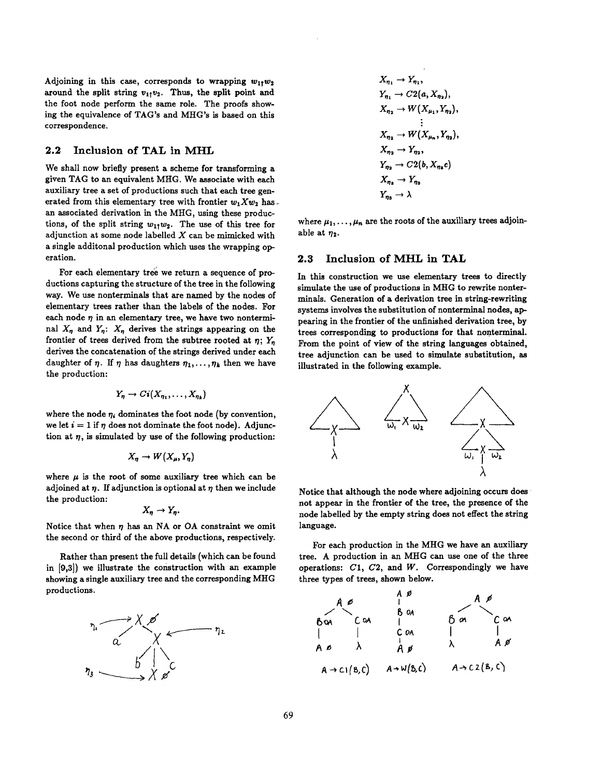Adjoining in this case, corresponds to wrapping  $w_{11}w_2$ around the split string  $v_{11}v_2$ . Thus, the split point and the foot node perform the same role. The proofs showing the equivalence of TAG's and MHG's is based on this correspondence.

## 2.2 Inclusion of TAL in MHL

We shall now briefly present a scheme for transforming a given TAG to an equivalent MHG. We associate with each auxiliary tree a set of productions such that each tree generated from this elementary tree with frontier  $w_1 X w_2$  has. an associated derivation in the MHG, using these productions, of the split string  $w_{11}w_2$ . The use of this tree for adjunction at some node labelled  $X$  can be mimicked with a single additonal production which uses the wrapping operation.

For each elementary tree we return a sequence of productions capturing the structure of the tree in the following way. We use nonterminals that are named by the nodes of elementary trees rather than the labels of the nodes. For each node  $\eta$  in an elementary tree, we have two nonterminal  $X_n$  and  $Y_n$ :  $X_n$  derives the strings appearing on the frontier of trees derived from the subtree rooted at  $\eta$ ;  $Y_n$ derives the concatenation of the strings derived under each daughter of  $\eta$ . If  $\eta$  has daughters  $\eta_1, \ldots, \eta_k$  then we have the production:

$$
Y_{\eta} \to Ci(X_{\eta_1},\ldots,X_{\eta_k})
$$

where the node  $\eta_i$  dominates the foot node (by convention, we let  $i = 1$  if  $\eta$  does not dominate the foot node). Adjunction at  $\eta$ , is simulated by use of the following production:

$$
X_{\eta} \to W(X_{\mu}, Y_{\eta})
$$

where  $\mu$  is the root of some auxiliary tree which can be adjoined at  $\eta$ . If adjunction is optional at  $\eta$  then we include the production:

$$
X_{\eta} \to Y_{\eta}.
$$

Notice that when  $n$  has an NA or OA constraint we omit the second or third of the above productions, respectively.

Rather than present the full details (which can be found in [9,3]) we illustrate the construction with an example showing a single auxiliary tree and the corresponding MHG productions.



$$
X_{\eta_1} \to Y_{\eta_1},
$$
  
\n
$$
Y_{\eta_1} \to C2(a, X_{\eta_2}),
$$
  
\n
$$
X_{\eta_2} \to W(X_{\mu_1}, Y_{\eta_2}),
$$
  
\n
$$
\vdots
$$
  
\n
$$
X_{\eta_2} \to W(X_{\mu_n}, Y_{\eta_2}),
$$
  
\n
$$
X_{\eta_2} \to Y_{\eta_2},
$$
  
\n
$$
Y_{\eta_2} \to C2(b, X_{\eta_2}c)
$$
  
\n
$$
X_{\eta_3} \to Y_{\eta_3}
$$
  
\n
$$
Y_{\eta_3} \to \lambda
$$

where  $\mu_1,\ldots,\mu_n$  are the roots of the auxiliary trees adjoinable at  $\eta_2$ .

#### **2.3 Inclusion of MHL in TAL**

In this construction we use elementary trees to directly simulate the use of productions in MHG to rewrite nonterminals. Generation of a derivation tree in string-rewriting systems involves the substitution of nonterminal nodes, appearing in the frontier of the unfinished derivation tree, by trees corresponding to productions for that nonterminal. From the point of view of the string languages obtained, tree adjunction can be used to simulate substitution, as illustrated in the following example.



Notice that although the node where adjoining occurs does ' not appear in the frontier of the tree, the presence of the node labelled by the empty string does not effect the string language.

For each production in the MHG we have an auxiliary tree. A production in an MHG can use one of the three operations:  $C1$ ,  $C2$ , and  $W$ . Correspondingly we have three types of trees, shown below.

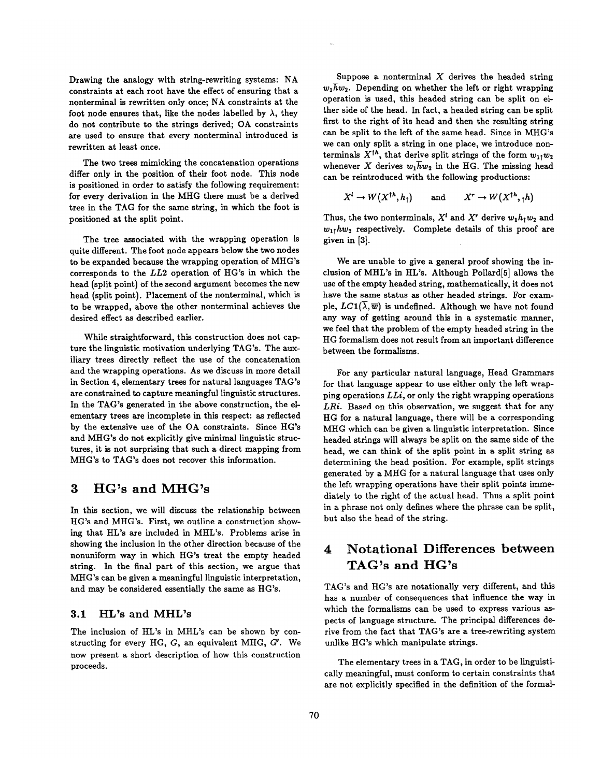Drawing the analogy with string-rewriting systems: NA constraints at each root have the effect of ensuring that a nonterminal is rewritten only once; NA constraints at the foot node ensures that, like the nodes labelled by  $\lambda$ , they do not contribute to the strings derived; OA constraints are used to ensure that every nonterminal introduced is rewritten at least once.

The two trees mimicking the concatenation operations differ only in the position of their foot node. This node is positioned in order to satisfy the following requirement: for every derivation in the MHG there must be a derived tree in the TAG for the same string, in which the foot is positioned at the split point.

The tree associated with the wrapping operation is quite different. The foot node appears below the two nodes to be expanded because the wrapping operation of MHG's corresponds to the *LL2* operation of HG's in which the head (split point) of the second argument becomes the new head (split point). Placement of the nonterminal, which is to be wrapped, above the other nonterminal achieves the desired effect as described earlier.

While straightforward, this construction does not capture the linguistic motivation underlying TAG's. The auxiliary trees directly reflect the use of the concatenation and the wrapping operations. As we discuss in more detail in Section 4, elementary trees for natural languages TAG's are constrained to capture meaningful linguistic structures. In the TAG's generated in the above construction, the elementary trees are incomplete in this respect: as reflected by the extensive use of the OA constraints. Since HG's and MHG's do not explicitly give minimal linguistic structures, it is not surprising that such a direct mapping from MHG's to TAG's does not recover this information.

# **3 HG's and MHG's**

In this section, we will discuss the relationship between HG's and MHG's. First, we outline a construction showing that HL's are included in MHL's. Problems arise in showing the inclusion in the other direction because of the nonuniform way in which HG's treat the empty headed string. In the final part of this section, we argue that MHG's can be given a meaningful linguistic interpretation, and may be considered essentially the same as HG's.

### 3.1 HL's and MHL's

The inclusion of HL's in MHL's can be shown by constructing for every HG, G, an equivalent MHG, G'. We now present a short description of how this construction proceeds.

Suppose a nonterminal  $X$  derives the headed string  $w_1 \overline{h} w_2$ . Depending on whether the left or right wrapping operation is used, this headed string can be split on either side of the head. In fact, a headed string can be split first to the right of its head and then the resulting string can be split to the left of the same head. Since in MHG's we can only split a string in one place, we introduce nonterminals  $X^{\dagger h}$ , that derive split strings of the form  $w_{1\uparrow}w_2$ whenever X derives  $w_1 \overline{h} w_2$  in the HG. The missing head can be reintroduced with the following productions:

 $X^l \to W(X^{\dagger h}, h_1)$  and  $X^r \to W(X^{\dagger h}, h)$ 

Thus, the two nonterminals,  $X<sup>l</sup>$  and  $X<sup>r</sup>$  derive  $w_1h_1w_2$  and  $w_{11}hw_2$  respectively. Complete details of this proof are given in [3].

We are unable to give a general proof showing the inclusion of MHL's in HL's. Although Pollard<sup>[5]</sup> allows the use of the empty headed string, mathematically, it does not have the same status as other headed strings. For example,  $LC1(\overline{\lambda},\overline{w})$  is undefined. Although we have not found any way of getting around this in a systematic manner, we feel that the problem of the empty headed string in the HG formalism does not result from an important difference between the formalisms.

For any particular natural language, Head Grammars for that language appear to use either only the left wrapping operations *LLi,* or only the right wrapping operations *LRi.* Based on this observation, we suggest that for any HG for a natural language, there will be a corresponding MHG which can be given a linguistic interpretation. Since headed strings will always be split on the same side of the head, we can think of the split point in a split string as determining the head position. For example, split strings generated by a MHG for a natural language that uses only the left wrapping operations have their split points immediately to the right of the actual head. Thus a split point in a phrase not only defines where the phrase can be split, but also the head of the string.

# **4 Notational Differences between TAG's and HG's**

TAG's and HG's are notationally very different, and this has a number of consequences that influence the way in which the formalisms can be used to express various aspects of language structure. The principal differences derive from the fact that TAG's are a tree-rewriting system unlike HG's which manipulate strings.

The elementary trees in a TAG, in order to be linguistically meaningful, must conform to certain constraints that are not explicitly specified in the definition of the formal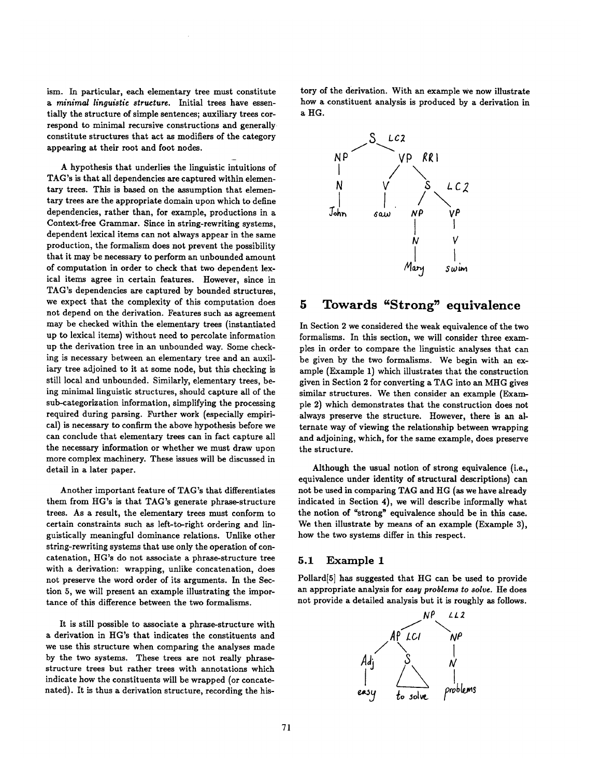ism. In particular, each elementary tree must constitute *a minimal linguistic structure.* Initial trees have essentially the structure of simple sentences; auxiliary trees correspond to minimal recursive constructions and generally constitute structures that act as modifiers of the category appearing at their root and foot nodes.

A hypothesis that underlies the linguistic intuitions of TAG's is that all dependencies are captured within elementary trees. This is based on the assumption that elementary trees are the appropriate domain upon which to define dependencies, rather than, for example, productions in a Context-free Grammar. Since in string-rewriting systems, dependent lexical items can not always appear in the same production, the formalism does not prevent the possibility that it may be necessary to perform an unbounded amount of computation in order to check that two dependent lexical items agree in certain features. However, since in TAG's dependencies are captured by bounded structures, we expect that the complexity of this computation does not depend on the derivation. Features such as agreement may be checked within the elementary trees (instantiated up to lexical items) without need to percolate information up the derivation tree in an unbounded way. Some checking is necessary between an elementary tree and an auxiliary tree adjoined to it at some node, but this checking is still local and unbounded. Similarly, elementary trees, being minimal linguistic structures, should capture all of the sub-categorization information, simplifying the processing required during parsing. Further work (especially empirical) is necessary to confirm the above hypothesis before we can conclude that elementary trees can in fact capture all the necessary information or whether we must draw upon more complex machinery. These issues will be discussed in detail in a later paper.

Another important feature of TAG's that differentiates them from HG's is that TAG's generate phrase-structure trees. As a result, the elementary trees must conform to certain constraints such as left-to-right ordering and linguistically meaningful dominance relations. Unlike other string-rewriting systems that use only the operation of concatenation, HG's do not associate a phrase-structure tree with a derivation: wrapping, unlike concatenation, does not preserve the word order of its arguments. In the Section 5, we will present an example illustrating the importance of this difference between the two formalisms.

It is still possible to associate a phrase-structure with a derivation in HG's that indicates the constituents and we use this structure when comparing the analyses made by the two systems. These trees are not really phrasestructure trees but rather trees with annotations which indicate how the constituents will be wrapped (or concatenated). It is thus a derivation structure, recording the history of the derivation. With an example we now illustrate how a constituent analysis is produced by a derivation in **<sup>a</sup>**HG.



# **5 Towards "Strong" equivalence**

In Section 2 we considered the weak equivalence of the two formalisms. In this section, we will consider three examples in order to compare the linguistic analyses that can be given by the two formalisms. We begin with an example (Example 1) which illustrates that the construction given in Section 2 for converting a TAG into an MHG gives similar structures. We then consider an example (Example 2) which demonstrates that the construction does not always preserve the structure. However, there is an alternate way of viewing the relationship between wrapping and adjoining, which, for the same example, does preserve the structure.

Although the usual notion of strong equivalence (i.e., equivalence under identity of structural descriptions) can not be used in comparing TAG and HG (as we have already indicated in Section 4), we will describe informally what the notion of "strong" equivalence should be in this case. We then illustrate by means of an example (Example 3), how the two systems differ in this respect.

### 5.1 Example 1

Pollard[5] has suggested that HG can be used to provide an appropriate analysis for *easy problems to solve.* He does not provide a detailed analysis but it is roughly as follows.

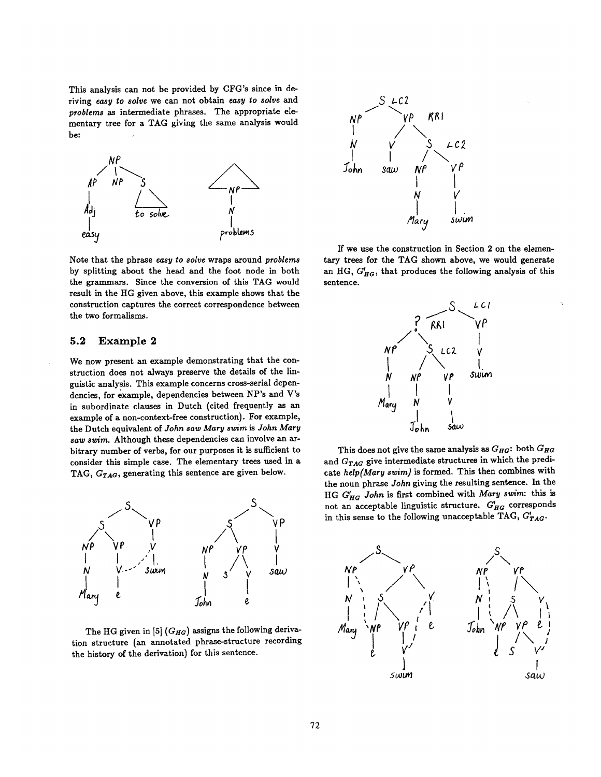This analysis can not be provided by CFG's since in deriving *easy to solve* we can not obtain *easy to solve* and *problems as* intermediate phrases. The appropriate elementary tree for a TAG giving the same analysis would be:  $\sqrt{ }$ 



Note that the phrase *easy to solve* wraps around *problems*  by splitting about the head and the foot node in both the grammars. Since the conversion of this TAG would result in the HG given above, this example shows that the construction captures the correct correspondence between the two formalisms.

### 5.2 Example 2

We now present an example demonstrating that the construction does not always preserve the details of the linguistic analysis. This example concerns cross-serial dependencies, for example, dependencies between NP's and V's in subordinate clauses in Dutch (cited frequently as an example of a non-context-free construction). For example, the Dutch equivalent of *John saw Mary swim is John Mary saw swim.* Although these dependencies can involve an arbitrary number of verbs, for our purposes it is sufficient to consider this simple case. The elementary trees used in a TAG, *GTAa,* generating this sentence are given below.



The HG given in [5] *(G<sub>HG</sub>)* assigns the following derivation structure (an annotated phrase-structure recording the history of the derivation) for this sentence.



If we use the construction in Section 2 on the elementary trees for the TAG shown above, we would generate an HG,  $G'_{HG}$ , that produces the following analysis of this sentence.



This does not give the same analysis as  $G_{HG}$ : both  $G_{HG}$ and *GrAa* give intermediate structures in which the predicate *help(Mary swim)* is formed. This then combines with the noun phrase *John* giving the resulting sentence. In the HG G'<sub>HG</sub> John is first combined with Mary swim: this is not an acceptable linguistic structure.  $G'_{HG}$  corresponds in this sense to the following unacceptable TAG,  $G'_{TAG}$ .

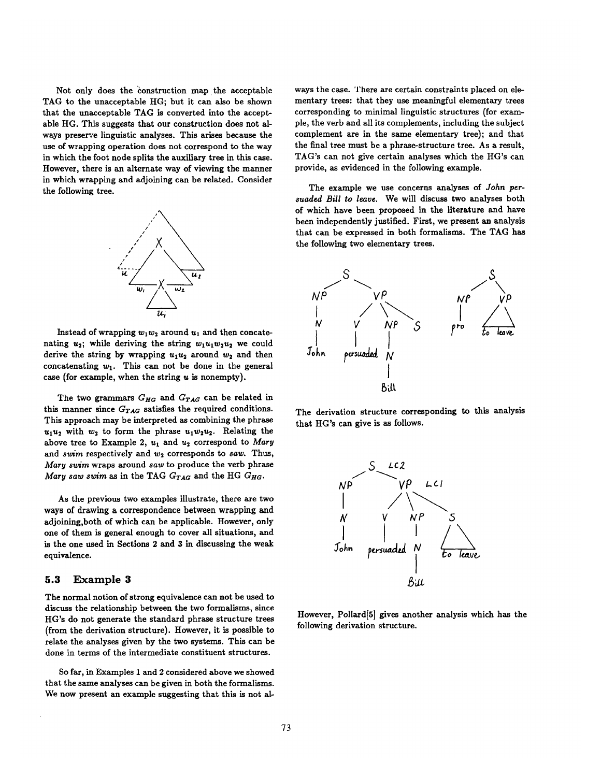Not only does the construction map the acceptable TAG to the unacceptable HG; hut it can also be shown that the unacceptable TAG is converted into the acceptable HG. This suggests that our construction does not always preserve linguistic analyses. This arises because the use of wrapping operation does not correspond to the way in which the foot node splits the auxiliary tree in this case. However, there is an alternate way of viewing the manner in which wrapping and adjoining can be related. Consider the following tree.



Instead of wrapping  $w_1w_2$  around  $u_1$  and then concatenating  $u_2$ ; while deriving the string  $w_1u_1w_2u_2$  we could derive the string by wrapping  $u_1u_2$  around  $w_2$  and then concatenating  $w_1$ . This can not be done in the general case (for example, when the string  $u$  is nonempty).

The two grammars  $G_{HG}$  and  $G_{TAG}$  can be related in this manner since  $G_{TAG}$  satisfies the required conditions. This approach may be interpreted as combining the phrase  $u_1u_2$  with  $w_2$  to form the phrase  $u_1w_2u_2$ . Relating the above tree to Example 2,  $u_1$  and  $u_2$  correspond to Mary and *swim* respectively and  $w_2$  corresponds to *saw*. Thus, *Mary swim* wraps around *saw* to produce the verb phrase *Mary saw swim as in the TAG*  $G_{TAG}$  *and the HG*  $G_{HG}$ *.* 

As the previous two examples illustrate, there are two ways of drawing a correspondence between wrapping and adjoining,both of which can be applicable. However, only one of them is general enough to cover all situations, and is the one used in Sections 2 and 3 in discussing the weak equivalence.

#### **5.3 Example 3**

The normal notion of strong equivalence can not be used to discuss the relationship between the two formalisms, since HG's do not generate the standard phrase structure trees (from the derivation structure). However, it is possible to relate the analyses given by the two systems. This can be done in terms of the intermediate constituent structures.

So far, in Examples 1 and 2 considered above we showed that the same analyses can be given in both the formalisms. We now present an example suggesting that this is not always the case. There are certain constraints placed on elementary trees: that they use meaningful elementary trees corresponding to minimal linguistic structures (for example, the verb and all its complements, including the subject complement are in the same elementary tree); and that the final tree must be a phrase-structure tree. As a result, TAG's can not give certain analyses which the HG's can provide, as evidenced in the following example.

The example we use concerns analyses of *John persuaded Bill to leau,.* We will discuss two analyses both of which have been proposed in the literature and have been independently justified. First, we present an analysis that can be expressed in both formalisms. The TAG has the following two elementary trees.



The derivation structure corresponding to this analysis that HG's can give is as follows.



However, Pollard[5] gives another analysis which has the following derivation structure.